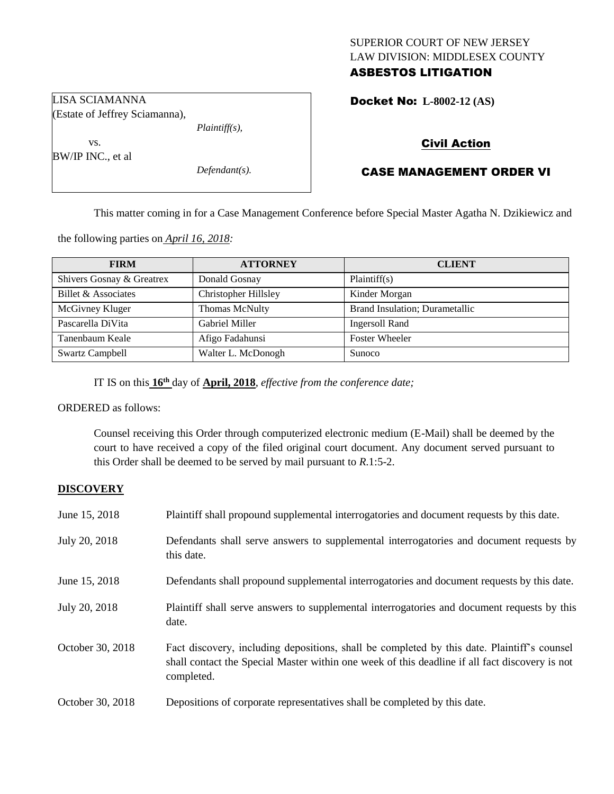# SUPERIOR COURT OF NEW JERSEY LAW DIVISION: MIDDLESEX COUNTY ASBESTOS LITIGATION

Docket No: **L-8002-12 (AS)** 

# Civil Action

# CASE MANAGEMENT ORDER VI

This matter coming in for a Case Management Conference before Special Master Agatha N. Dzikiewicz and

the following parties on *April 16, 2018:*

| <b>FIRM</b>               | <b>ATTORNEY</b>             | <b>CLIENT</b>                  |
|---------------------------|-----------------------------|--------------------------------|
| Shivers Gosnay & Greatrex | Donald Gosnay               | Plaintiff(s)                   |
| Billet & Associates       | <b>Christopher Hillsley</b> | Kinder Morgan                  |
| McGivney Kluger           | Thomas McNulty              | Brand Insulation; Durametallic |
| Pascarella DiVita         | Gabriel Miller              | <b>Ingersoll Rand</b>          |
| Tanenbaum Keale           | Afigo Fadahunsi             | <b>Foster Wheeler</b>          |
| <b>Swartz Campbell</b>    | Walter L. McDonogh          | Sunoco                         |

IT IS on this **16th** day of **April, 2018**, *effective from the conference date;*

ORDERED as follows:

Counsel receiving this Order through computerized electronic medium (E-Mail) shall be deemed by the court to have received a copy of the filed original court document. Any document served pursuant to this Order shall be deemed to be served by mail pursuant to *R*.1:5-2.

### **DISCOVERY**

| June 15, 2018    | Plaintiff shall propound supplemental interrogatories and document requests by this date.                                                                                                                   |
|------------------|-------------------------------------------------------------------------------------------------------------------------------------------------------------------------------------------------------------|
| July 20, 2018    | Defendants shall serve answers to supplemental interrogatories and document requests by<br>this date.                                                                                                       |
| June 15, 2018    | Defendants shall propound supplemental interrogatories and document requests by this date.                                                                                                                  |
| July 20, 2018    | Plaintiff shall serve answers to supplemental interrogatories and document requests by this<br>date.                                                                                                        |
| October 30, 2018 | Fact discovery, including depositions, shall be completed by this date. Plaintiff's counsel<br>shall contact the Special Master within one week of this deadline if all fact discovery is not<br>completed. |
| October 30, 2018 | Depositions of corporate representatives shall be completed by this date.                                                                                                                                   |

LISA SCIAMANNA (Estate of Jeffrey Sciamanna),

vs. BW/IP INC., et al

*Defendant(s).*

*Plaintiff(s),*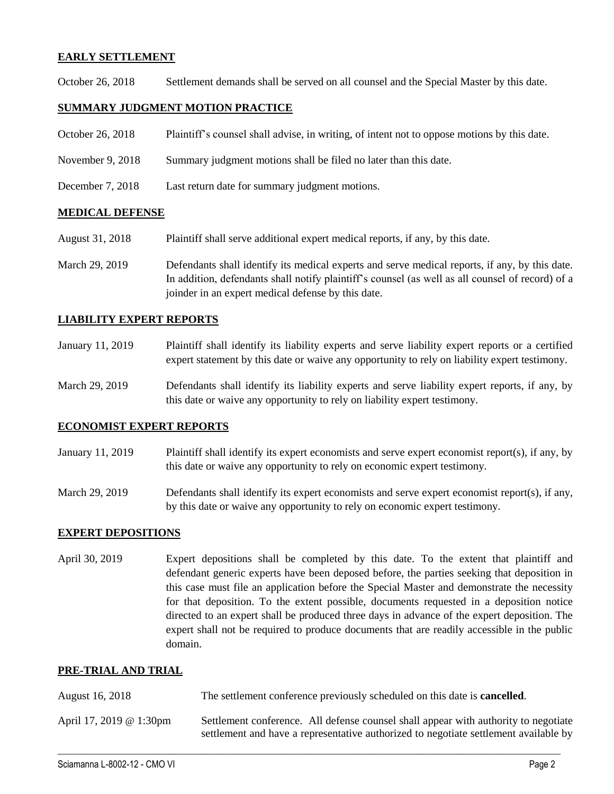## **EARLY SETTLEMENT**

October 26, 2018 Settlement demands shall be served on all counsel and the Special Master by this date.

## **SUMMARY JUDGMENT MOTION PRACTICE**

- October 26, 2018 Plaintiff's counsel shall advise, in writing, of intent not to oppose motions by this date.
- November 9, 2018 Summary judgment motions shall be filed no later than this date.
- December 7, 2018 Last return date for summary judgment motions.

## **MEDICAL DEFENSE**

- August 31, 2018 Plaintiff shall serve additional expert medical reports, if any, by this date.
- March 29, 2019 Defendants shall identify its medical experts and serve medical reports, if any, by this date. In addition, defendants shall notify plaintiff's counsel (as well as all counsel of record) of a joinder in an expert medical defense by this date.

## **LIABILITY EXPERT REPORTS**

- January 11, 2019 Plaintiff shall identify its liability experts and serve liability expert reports or a certified expert statement by this date or waive any opportunity to rely on liability expert testimony.
- March 29, 2019 Defendants shall identify its liability experts and serve liability expert reports, if any, by this date or waive any opportunity to rely on liability expert testimony.

### **ECONOMIST EXPERT REPORTS**

- January 11, 2019 Plaintiff shall identify its expert economists and serve expert economist report(s), if any, by this date or waive any opportunity to rely on economic expert testimony.
- March 29, 2019 Defendants shall identify its expert economists and serve expert economist report(s), if any, by this date or waive any opportunity to rely on economic expert testimony.

### **EXPERT DEPOSITIONS**

April 30, 2019 Expert depositions shall be completed by this date. To the extent that plaintiff and defendant generic experts have been deposed before, the parties seeking that deposition in this case must file an application before the Special Master and demonstrate the necessity for that deposition. To the extent possible, documents requested in a deposition notice directed to an expert shall be produced three days in advance of the expert deposition. The expert shall not be required to produce documents that are readily accessible in the public domain.

### **PRE-TRIAL AND TRIAL**

| August 16, 2018         | The settlement conference previously scheduled on this date is <b>cancelled</b> .                                                                                           |
|-------------------------|-----------------------------------------------------------------------------------------------------------------------------------------------------------------------------|
| April 17, 2019 @ 1:30pm | Settlement conference. All defense counsel shall appear with authority to negotiate<br>settlement and have a representative authorized to negotiate settlement available by |